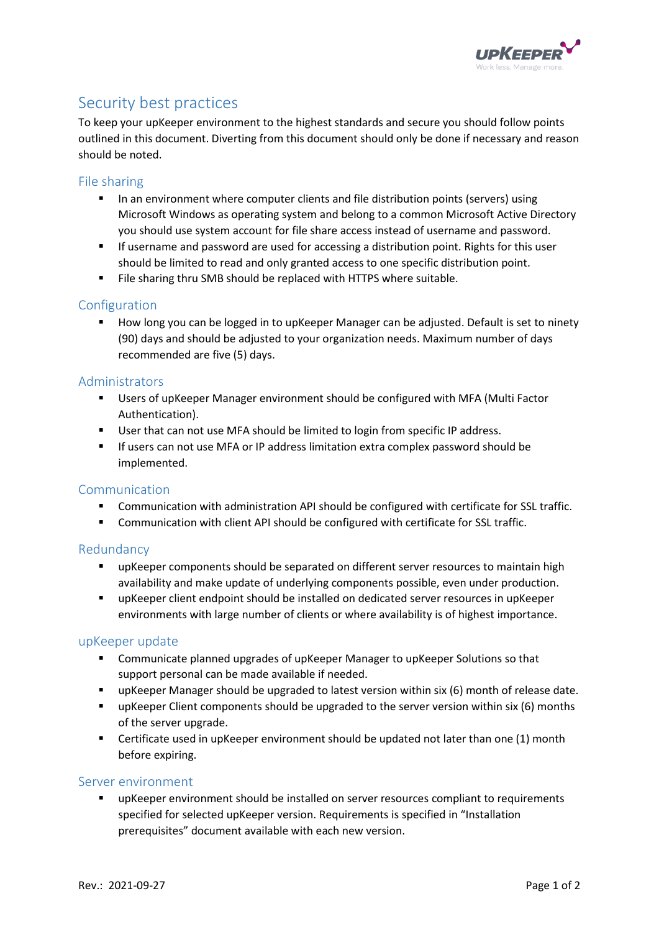

# Security best practices

To keep your upKeeper environment to the highest standards and secure you should follow points outlined in this document. Diverting from this document should only be done if necessary and reason should be noted.

## File sharing

- **■** In an environment where computer clients and file distribution points (servers) using Microsoft Windows as operating system and belong to a common Microsoft Active Directory you should use system account for file share access instead of username and password.
- **■** If username and password are used for accessing a distribution point. Rights for this user should be limited to read and only granted access to one specific distribution point.
- File sharing thru SMB should be replaced with HTTPS where suitable.

## Configuration

How long you can be logged in to upKeeper Manager can be adjusted. Default is set to ninety (90) days and should be adjusted to your organization needs. Maximum number of days recommended are five (5) days.

## Administrators

- Users of upKeeper Manager environment should be configured with MFA (Multi Factor Authentication).
- User that can not use MFA should be limited to login from specific IP address.
- If users can not use MFA or IP address limitation extra complex password should be implemented.

#### Communication

- Communication with administration API should be configured with certificate for SSL traffic.
- Communication with client API should be configured with certificate for SSL traffic.

#### Redundancy

- **•** upKeeper components should be separated on different server resources to maintain high availability and make update of underlying components possible, even under production.
- **■** upKeeper client endpoint should be installed on dedicated server resources in upKeeper environments with large number of clients or where availability is of highest importance.

#### upKeeper update

- **EXECOMMUNICATE STANDIG UPGACES OF UPKEEPER Manager to upKeeper Solutions so that** support personal can be made available if needed.
- **■** upKeeper Manager should be upgraded to latest version within six (6) month of release date.
- **■** upKeeper Client components should be upgraded to the server version within six (6) months of the server upgrade.
- Certificate used in upKeeper environment should be updated not later than one (1) month before expiring.

#### Server environment

**■** upKeeper environment should be installed on server resources compliant to requirements specified for selected upKeeper version. Requirements is specified in "Installation prerequisites" document available with each new version.